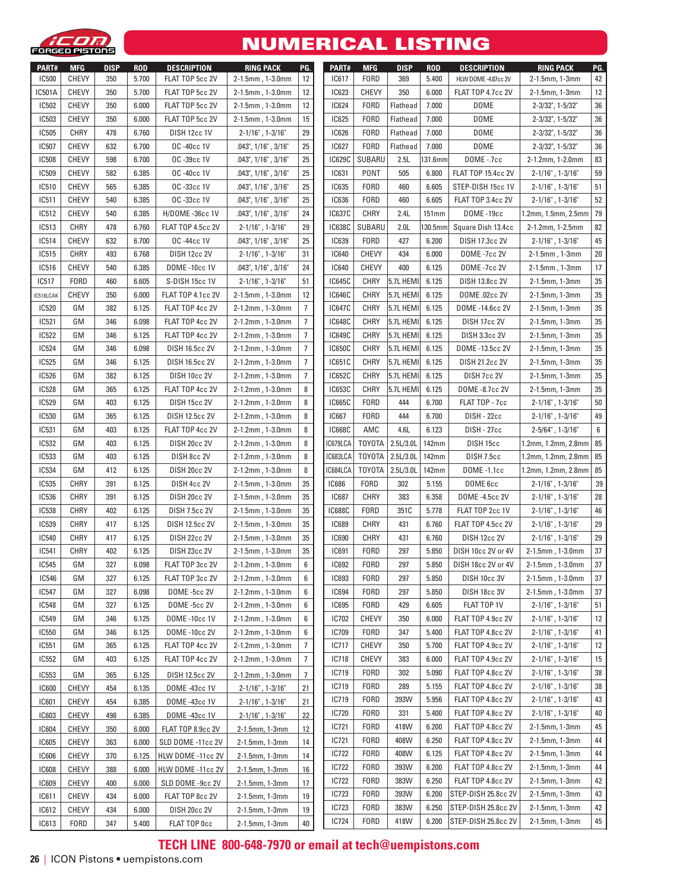

#### NUMERICAL LISTING

| <b>PART#</b> | <b>MFG</b>   | <b>DISP</b> | <b>ROD</b> | <b>DESCRIPTION</b>   | <b>RING PACK</b>      | PG.              | PART#         | <b>MFG</b>    | <b>DISP</b> | <b>ROD</b> | <b>DESCRIPTION</b>        | <b>RING PACK</b>             | PG.    |
|--------------|--------------|-------------|------------|----------------------|-----------------------|------------------|---------------|---------------|-------------|------------|---------------------------|------------------------------|--------|
| <b>IC500</b> | <b>CHEVY</b> | 350         | 5.700      | FLAT TOP 5cc 2V      | 2-1.5mm, 1-3.0mm      | 12               | IC617         | FORD          | 369         | 5.400      | HLW DOME -4.87cc 2V       | 2-1.5mm, 1-3mm               | 42     |
| IC501A       | <b>CHEVY</b> | 350         | 5.700      | FLAT TOP 5cc 2V      | 2-1.5mm, 1-3.0mm      | 12               | IC623         | <b>CHEVY</b>  | 350         | 6.000      | FLAT TOP 4.7cc 2V         | 2-1.5mm, 1-3mm               | 12     |
| <b>IC502</b> | <b>CHEVY</b> | 350         | 6.000      | FLAT TOP 5cc 2V      | 2-1.5mm, 1-3.0mm      | 12               | <b>IC624</b>  | <b>FORD</b>   | Flathead    | 7.000      | <b>DOME</b>               | 2-3/32", 1-5/32"             | 36     |
| <b>IC503</b> | <b>CHEVY</b> | 350         | 6.000      | FLAT TOP 5cc 2V      | 2-1.5mm, 1-3.0mm      | 15               | IC625         | <b>FORD</b>   | Flathead    | 7.000      | <b>DOME</b>               | 2-3/32", 1-5/32"             | 36     |
| <b>IC505</b> | CHRY         | 478         | 6.760      | <b>DISH 12cc 1V</b>  | $2 - 1/16"$ , 1-3/16" | 29               | <b>IC626</b>  | <b>FORD</b>   | Flathead    | 7.000      | <b>DOME</b>               | 2-3/32", 1-5/32"             | 36     |
| IC507        | <b>CHEVY</b> | 632         | 6.700      | OC-40cc 1V           | .043", 1/16" , 3/16"  | 25               | <b>IC627</b>  | <b>FORD</b>   | Flathead    | 7.000      | <b>DOME</b>               | 2-3/32", 1-5/32"             | 36     |
| <b>IC508</b> | <b>CHEVY</b> | 598         | 6.700      | OC-39cc 1V           | .043", 1/16" , 3/16"  | 25               | IC629C        | SUBARU        | 2.5L        | 131.6mm    | DOME-.7cc                 | 2-1.2mm, 1-2.0mm             | 83     |
| <b>IC509</b> | <b>CHEVY</b> | 582         | 6.385      | OC-40cc 1V           | .043", 1/16" , 3/16"  | 25               | IC631         | PONT          | 505         | 6.800      | <b>FLAT TOP 15.4cc 2V</b> | $2 - 1/16"$ , 1-3/16"        | 59     |
| IC510        | <b>CHEVY</b> | 565         | 6.385      | OC-33cc 1V           | .043", 1/16" , 3/16"  | 25               | IC635         | <b>FORD</b>   | 460         | 6.605      | STEP-DISH 15cc 1V         | $2 - 1/16"$ , 1-3/16"        | 51     |
| IC511        | <b>CHEVY</b> | 540         | 6.385      | OC-33cc 1V           | .043", 1/16" , 3/16"  | 25               | <b>IC636</b>  | <b>FORD</b>   | 460         | 6.605      | FLAT TOP 3.4cc 2V         | $2 - 1/16"$ , $1 - 3/16"$    | 52     |
| IC512        | <b>CHEVY</b> | 540         | 6.385      | H/DOME -36cc 1V      | .043", 1/16" , 3/16"  | 24               | <b>IC637C</b> | CHRY          | 2.4L        | $151$ mm   | DOME-19cc                 | $1.2$ mm, $1.5$ mm, $2.5$ mm | 79     |
| <b>IC513</b> | CHRY         | 478         | 6.760      | FLAT TOP 4.5cc 2V    | $2 - 1/16"$ , 1-3/16" | 29               | <b>IC638C</b> | SUBARU        | 2.0L        | $130.5$ mm | Square Dish 13.4cc        | 2-1.2mm, 1-2.5mm             | 82     |
| IC514        | <b>CHEVY</b> | 632         | 6.700      | OC-44cc 1V           | .043", 1/16" , 3/16"  | 25               | <b>IC639</b>  | <b>FORD</b>   | 427         | 6.200      | DISH 17.3cc 2V            | $2 - 1/16"$ , 1-3/16"        | 45     |
| IC515        | CHRY         | 493         | 6.768      | DISH 12cc 2V         | $2 - 1/16"$ , 1-3/16" | 31               | <b>IC640</b>  | <b>CHEVY</b>  | 434         | 6.000      | DOME -7cc 2V              | $2 - 1.5$ mm, 1-3mm          | 20     |
| IC516        | <b>CHEVY</b> | 540         | 6.385      | <b>DOME -10cc 1V</b> | .043", 1/16" , 3/16"  | 24               | <b>IC640</b>  | <b>CHEVY</b>  | 400         | 6.125      | DOME -7cc 2V              | $2 - 1.5$ mm, 1-3mm          | 17     |
| IC517        | FORD         | 460         | 6.605      | S-DISH 15cc 1V       | $2 - 1/16"$ , 1-3/16" | 51               | <b>IC645C</b> | <b>CHRY</b>   | 5.7L HEMI   | 6.125      | DISH 13.8cc 2V            | 2-1.5mm, 1-3mm               | 35     |
| IC518LCAK    | <b>CHEVY</b> | 350         | 6.000      | FLAT TOP 4.1cc 2V    | 2-1.5mm, 1-3.0mm      | 12               | <b>IC646C</b> | <b>CHRY</b>   | 5.7L HEMI   | 6.125      | DOME .02cc 2V             | 2-1.5mm, 1-3mm               | 35     |
| <b>IC520</b> | GM           | 382         | 6.125      | FLAT TOP 4cc 2V      | 2-1.2mm, 1-3.0mm      | $\overline{7}$   | <b>IC647C</b> | CHRY          | 5.7L HEMI   | 6.125      | DOME -14.6cc 2V           | 2-1.5mm, 1-3mm               | 35     |
| IC521        | GM           | 346         | 6.098      | FLAT TOP 4cc 2V      | 2-1.2mm, 1-3.0mm      | $\overline{7}$   | <b>IC648C</b> | CHRY          | 5.7L HEMI   | 6.125      | <b>DISH 17cc 2V</b>       | 2-1.5mm, 1-3mm               | 35     |
| <b>IC522</b> | GM           | 346         | 6.125      | FLAT TOP 4cc 2V      | 2-1.2mm, 1-3.0mm      | 7                | <b>IC649C</b> | CHRY          | 5.7L HEMI   | 6.125      | <b>DISH 3.3cc 2V</b>      | 2-1.5mm, 1-3mm               | 35     |
| <b>IC524</b> | GM           | 346         | 6.098      | DISH 16.5cc 2V       | 2-1.2mm, 1-3.0mm      | $\overline{7}$   | <b>IC650C</b> | CHRY          | 5.7L HEMI   | 6.125      | DOME -13.5cc 2V           | 2-1.5mm, 1-3mm               | 35     |
| <b>IC525</b> | GM           | 346         | 6.125      | DISH 16.5cc 2V       | 2-1.2mm, 1-3.0mm      | $\overline{7}$   | IC651C        | <b>CHRY</b>   | 5.7L HEMI   | 6.125      | <b>DISH 21.2cc 2V</b>     | 2-1.5mm, 1-3mm               | 35     |
| IC526        | GM           | 382         | 6.125      | DISH 10cc 2V         | 2-1.2mm, 1-3.0mm      | $\overline{7}$   | <b>IC652C</b> | CHRY          | 5.7L HEMI   | 6.125      | DISH 7cc 2V               | 2-1.5mm, 1-3mm               | 35     |
| <b>IC528</b> | GM           | 365         | 6.125      | FLAT TOP 4cc 2V      | 2-1.2mm, 1-3.0mm      | 8                | IC653C        | CHRY          | 5.7L HEMI   | 6.125      | DOME -8.7cc 2V            | 2-1.5mm, 1-3mm               | 35     |
| <b>IC529</b> | GM           | 403         | 6.125      | <b>DISH 15cc 2V</b>  | 2-1.2mm, 1-3.0mm      | 8                | IC665C        | <b>FORD</b>   | 444         | 6.700      | FLAT TOP - 7cc            | $2 - 1/16"$ , 1-3/16"        | 50     |
| <b>IC530</b> | GM           | 365         | 6.125      | DISH 12.5cc 2V       | 2-1.2mm, 1-3.0mm      | 8                | <b>IC667</b>  | <b>FORD</b>   | 444         | 6.700      | DISH - 22cc               | $2 - 1/16"$ , 1-3/16"        | 49     |
| IC531        | GM           | 403         | 6.125      | FLAT TOP 4cc 2V      | 2-1.2mm, 1-3.0mm      | 8                | <b>IC668C</b> | AMC           | 4.6L        | 6.123      | DISH - 27cc               | $2 - 5/64$ ", $1 - 3/16$ "   | 6      |
| <b>IC532</b> | GM           | 403         | 6.125      | <b>DISH 20cc 2V</b>  | 2-1.2mm, 1-3.0mm      | 8                | IC679LCA      | <b>TOYOTA</b> | 2.5L/3.0L   | 142mm      | DISH 15cc                 | 1.2mm, 1.2mm, 2.8mm          | 85     |
| IC533        | GM           | 403         | 6.125      | DISH 8cc 2V          | 2-1.2mm, 1-3.0mm      | 8                | IC683LCA      | <b>TOYOTA</b> | 2.5L/3.0L   | 142mm      | DISH 7.5cc                | 1.2mm, 1.2mm, 2.8mm          | 85     |
| <b>IC534</b> | GM           | 412         | 6.125      | DISH 20cc 2V         | 2-1.2mm, 1-3.0mm      | 8                | IC684LCA      | T0Y0TA        | 2.5L/3.0L   | 142mm      | DOME -1.1cc               | 1.2mm, 1.2mm, 2.8mm          | 85     |
| <b>IC535</b> | <b>CHRY</b>  | 391         | 6.125      | DISH 4cc 2V          | 2-1.5mm, 1-3.0mm      | 35               | <b>IC686</b>  | <b>FORD</b>   | 302         | 5.155      | DOME 6cc                  | $2 - 1/16"$ , 1-3/16"        | 39     |
| <b>IC536</b> | <b>CHRY</b>  | 391         | 6.125      | DISH 20cc 2V         | 2-1.5mm, 1-3.0mm      | 35               | <b>IC687</b>  | <b>CHRY</b>   | 383         | 6.358      | DOME -4.5cc 2V            | $2 - 1/16"$ , 1-3/16"        | 28     |
| <b>IC538</b> | CHRY         | 402         | 6.125      | <b>DISH 7.5cc 2V</b> | 2-1.5mm, 1-3.0mm      | 35               | <b>IC688C</b> | <b>FORD</b>   | 351C        | 5.778      | FLAT TOP 2cc 1V           | $2 - 1/16"$ , 1-3/16"        | 46     |
| IC539        | CHRY         | 417         | 6.125      | DISH 12.5cc 2V       | 2-1.5mm, 1-3.0mm      | 35               | <b>IC689</b>  | <b>CHRY</b>   | 431         | 6.760      | FLAT TOP 4.5cc 2V         | $2 - 1/16"$ , 1-3/16"        | 29     |
| IC540        | CHRY         | 417         | 6.125      | <b>DISH 22cc 2V</b>  | 2-1.5mm, 1-3.0mm      | 35               | <b>IC690</b>  | <b>CHRY</b>   | 431         | 6.760      | <b>DISH 12cc 2V</b>       | $2 - 1/16"$ , 1-3/16"        | 29     |
| IC541        | CHRY         | 402         | 6.125      | DISH 23cc 2V         | 2-1.5mm, 1-3.0mm      | 35               | IC691         | FORD          | 297         | 5.850      | DISH 10cc 2V or 4V        | $2-1.5$ mm, 1-3.0mm          | 37     |
| <b>IC545</b> | GM           | 327         | 6.098      | FLAT TOP 3cc 2V      | 2-1.2mm, 1-3.0mm      | $\boldsymbol{6}$ | IC692         | FORD          | 297         | 5.850      | DISH 18cc 2V or 4V        | 2-1.5mm, 1-3.0mm             | $37\,$ |
| <b>IC546</b> | GM           | 327         | 6.125      | FLAT TOP 3cc 2V      | 2-1.2mm, 1-3.0mm      | 6                | IC693         | FORD          | 297         | 5.850      | DISH 10cc 3V              | 2-1.5mm, 1-3.0mm             | 37     |
| IC547        | GM           | 327         | 6.098      | DOME -5cc 2V         | 2-1.2mm, 1-3.0mm      | 6                | <b>IC694</b>  | FORD          | 297         | 5.850      | <b>DISH 18cc 3V</b>       | 2-1.5mm, 1-3.0mm             | 37     |
| <b>IC548</b> | GM           | 327         | 6.125      | DOME -5cc 2V         | 2-1.2mm, 1-3.0mm      | 6                | <b>IC695</b>  | FORD          | 429         | 6.605      | FLAT TOP 1V               | $2 - 1/16"$ , 1-3/16"        | 51     |
| IC549        | GM           | 346         | 6.125      | <b>DOME -10cc 1V</b> | 2-1.2mm, 1-3.0mm      | 6                | IC702         | CHEVY         | 350         | 6.000      | FLAT TOP 4.9cc 2V         | $2 - 1/16"$ , 1-3/16"        | 12     |
| IC550        | GM           | 346         | 6.125      | DOME -10cc 2V        | 2-1.2mm, 1-3.0mm      | 6                | IC709         | FORD          | 347         | 5.400      | FLAT TOP 4.8cc 2V         | $2 - 1/16"$ , 1-3/16"        | 41     |
| IC551        | GM           | 365         | 6.125      | FLAT TOP 4cc 2V      | 2-1.2mm, 1-3.0mm      | $\overline{7}$   | IC717         | CHEVY         | 350         | 5.700      | FLAT TOP 4.9cc 2V         | $2 - 1/16"$ , 1-3/16"        | 12     |
| IC552        | GM           | 403         | 6.125      | FLAT TOP 4cc 2V      | 2-1.2mm, 1-3.0mm      | $\overline{7}$   | IC718         | CHEVY         | 383         | 6.000      | FLAT TOP 4.9cc 2V         | $2 - 1/16"$ , 1-3/16"        | 15     |
| IC553        | GM           | 365         | 6.125      | DISH 12.5cc 2V       | 2-1.2mm, 1-3.0mm      | $\overline{7}$   | IC719         | FORD          | 302         | 5.090      | FLAT TOP 4.8cc 2V         | $2 - 1/16"$ , 1-3/16"        | 38     |
| <b>IC600</b> | CHEVY        | 454         | 6.135      | DOME -43cc 1V        | 2-1/16", 1-3/16"      | 21               | IC719         | FORD          | 289         | 5.155      | FLAT TOP 4.8cc 2V         | $2 - 1/16"$ , 1-3/16"        | 38     |
| IC601        | CHEVY        | 454         | 6.385      | DOME -43cc 1V        | $2 - 1/16"$ , 1-3/16" | 21               | IC719         | FORD          | 393W        | 5.956      | FLAT TOP 4.8cc 2V         | $2 - 1/16"$ , 1-3/16"        | 43     |
| IC603        | CHEVY        | 498         | 6.385      | DOME -43cc 1V        | $2 - 1/16"$ , 1-3/16" | 22               | IC720         | FORD          | 331         | 5.400      | FLAT TOP 4.8cc 2V         | $2 - 1/16"$ , 1-3/16"        | 40     |
| <b>IC604</b> | CHEVY        | 350         | 6.000      | FLAT TOP 8.9cc 2V    | 2-1.5mm, 1-3mm        | 12               | IC721         | <b>FORD</b>   | 418W        | 6.200      | FLAT TOP 4.8cc 2V         | 2-1.5mm, 1-3mm               | 45     |
| IC605        | CHEVY        | 363         | 6.000      | SLD DOME -11cc 2V    | 2-1.5mm, 1-3mm        | 14               | IC721         | FORD          | 408W        | 6.250      | FLAT TOP 4.8cc 2V         | 2-1.5mm, 1-3mm               | 44     |
| <b>IC606</b> | <b>CHEVY</b> | 370         | 6.125      | HLW DOME -11cc 2V    | 2-1.5mm, 1-3mm        | 14               | IC722         | FORD          | 408W        | 6.125      | FLAT TOP 4.8cc 2V         | 2-1.5mm, 1-3mm               | 44     |
| <b>IC608</b> | <b>CHEVY</b> | 388         | 6.000      | HLW DOME -11cc 2V    | 2-1.5mm, 1-3mm        | 16               | IC722         | <b>FORD</b>   | 393W        | 6.200      | FLAT TOP 4.8cc 2V         | 2-1.5mm, 1-3mm               | 44     |
| <b>IC609</b> | CHEVY        | 400         | 6.000      | SLD DOME -9cc 2V     | 2-1.5mm, 1-3mm        | 17               | IC722         | <b>FORD</b>   | 383W        | 6.250      | FLAT TOP 4.8cc 2V         | 2-1.5mm, 1-3mm               | 42     |
| IC611        | <b>CHEVY</b> | 434         | 6.000      | FLAT TOP 8cc 2V      | 2-1.5mm, 1-3mm        | 19               | IC723         | <b>FORD</b>   | 393W        | 6.200      | STEP-DISH 25.8cc 2V       | 2-1.5mm, 1-3mm               | 43     |
| IC612        | <b>CHEVY</b> | 434         | 6.000      | <b>DISH 20cc 2V</b>  | 2-1.5mm, 1-3mm        | 19               | IC723         | FORD          | 383W        | 6.250      | STEP-DISH 25.8cc 2V       | 2-1.5mm, 1-3mm               | 42     |
| IC613        | FORD         | 347         | 5.400      | FLAT TOP Occ         | 2-1.5mm, 1-3mm        | 40               | IC724         | <b>FORD</b>   | 418W        | 6.200      | STEP-DISH 25.8cc 2V       | 2-1.5mm, 1-3mm               | 45     |
|              |              |             |            |                      |                       |                  |               |               |             |            |                           |                              |        |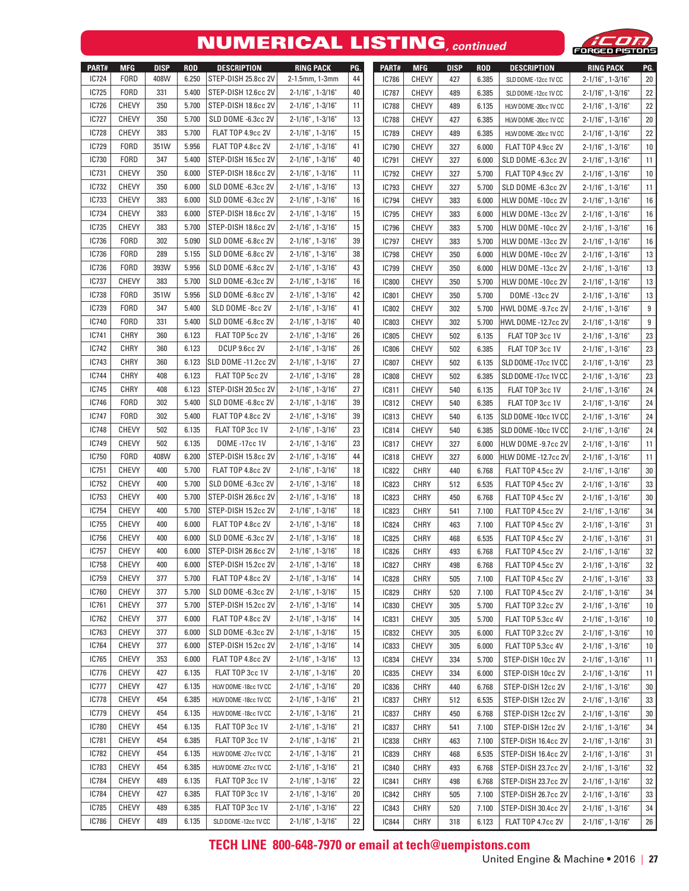### NUMERICAL LISTING**, continued**



| PART#        | <b>MFG</b>   | <b>DISP</b> | <b>ROD</b> | <b>DESCRIPTION</b>        | <b>RING PACK</b>          | PG. | PART#        | <b>MFG</b>   | <b>DISP</b> | <b>ROD</b> | <b>DESCRIPTION</b>   | <b>RING PACK</b>      | PG. |
|--------------|--------------|-------------|------------|---------------------------|---------------------------|-----|--------------|--------------|-------------|------------|----------------------|-----------------------|-----|
| <b>IC724</b> | <b>FORD</b>  | 408W        | 6.250      | STEP-DISH 25.8cc 2V       | 2-1.5mm, 1-3mm            | 44  | <b>IC786</b> | <b>CHEVY</b> | 427         | 6.385      | SLD DOME -12cc 1V CC | $2 - 1/16"$ , 1-3/16" | 20  |
| IC725        | <b>FORD</b>  | 331         | 5.400      | STEP-DISH 12.6cc 2V       | $2 - 1/16"$ , $1 - 3/16"$ | 40  | <b>IC787</b> | <b>CHEVY</b> | 489         | 6.385      | SLD DOME -12cc 1V CC | $2 - 1/16"$ , 1-3/16" | 22  |
| <b>IC726</b> | <b>CHEVY</b> | 350         | 5.700      | STEP-DISH 18.6cc 2V       | $2 - 1/16"$ , 1-3/16"     | 11  | <b>IC788</b> | <b>CHEVY</b> | 489         | 6.135      | HLW DOME -20cc 1V CC | $2 - 1/16"$ , 1-3/16" | 22  |
| <b>IC727</b> | <b>CHEVY</b> | 350         | 5.700      | SLD DOME -6.3cc 2V        | $2 - 1/16"$ , 1-3/16"     | 13  | <b>IC788</b> | <b>CHEVY</b> | 427         | 6.385      | HLW DOME -20cc 1V CC | $2 - 1/16"$ , 1-3/16" | 20  |
| <b>IC728</b> | <b>CHEVY</b> | 383         | 5.700      | FLAT TOP 4.9cc 2V         | $2 - 1/16"$ , 1-3/16"     | 15  | <b>IC789</b> | CHEVY        | 489         | 6.385      | HLW DOME -20cc 1V CC | $2 - 1/16"$ , 1-3/16" | 22  |
| IC729        | <b>FORD</b>  | 351W        | 5.956      | FLAT TOP 4.8cc 2V         | $2 - 1/16"$ , 1-3/16"     | 41  | <b>IC790</b> | CHEVY        | 327         | 6.000      | FLAT TOP 4.9cc 2V    | $2 - 1/16"$ , 1-3/16  | 10  |
| IC730        | <b>FORD</b>  | 347         | 5.400      | STEP-DISH 16.5cc 2V       | $2 - 1/16"$ , 1-3/16"     | 40  | <b>IC791</b> | CHEVY        | 327         | 6.000      | SLD DOME -6.3cc 2V   | $2 - 1/16"$ , 1-3/16" | 11  |
| IC731        | <b>CHEVY</b> | 350         | 6.000      | STEP-DISH 18.6cc 2V       | $2 - 1/16"$ , 1-3/16"     | 11  | <b>IC792</b> | <b>CHEVY</b> | 327         | 5.700      | FLAT TOP 4.9cc 2V    | $2 - 1/16"$ , 1-3/16" | 10  |
| IC732        | <b>CHEVY</b> | 350         | 6.000      | SLD DOME -6.3cc 2V        | $2 - 1/16"$ , 1-3/16"     | 13  | <b>IC793</b> | <b>CHEVY</b> | 327         | 5.700      | SLD DOME -6.3cc 2V   | $2 - 1/16"$ , 1-3/16" | 11  |
| <b>IC733</b> | <b>CHEVY</b> | 383         | 6.000      | SLD DOME -6.3cc 2V        | $2 - 1/16"$ , 1-3/16"     | 16  | <b>IC794</b> | <b>CHEVY</b> | 383         | 6.000      | HLW DOME -10cc 2V    | $2 - 1/16"$ , 1-3/16" | 16  |
| <b>IC734</b> | <b>CHEVY</b> | 383         | 6.000      | STEP-DISH 18.6cc 2V       | $2 - 1/16"$ , 1-3/16"     | 15  | <b>IC795</b> | <b>CHEVY</b> | 383         | 6.000      | HLW DOME -13cc 2V    | $2 - 1/16"$ , 1-3/16" | 16  |
| IC735        | <b>CHEVY</b> | 383         | 5.700      | STEP-DISH 18.6cc 2V       | $2 - 1/16"$ , 1-3/16"     | 15  | <b>IC796</b> | <b>CHEVY</b> | 383         | 5.700      | HLW DOME -10cc 2V    | $2 - 1/16"$ , 1-3/16" | 16  |
| <b>IC736</b> | <b>FORD</b>  | 302         | 5.090      | SLD DOME -6.8cc 2V        | $2 - 1/16"$ , 1-3/16"     | 39  | <b>IC797</b> | <b>CHEVY</b> | 383         | 5.700      | HLW DOME -13cc 2V    | $2 - 1/16"$ , 1-3/16" | 16  |
| <b>IC736</b> | <b>FORD</b>  | 289         | 5.155      | SLD DOME -6.8cc 2V        | $2 - 1/16"$ , 1-3/16"     | 38  | <b>IC798</b> | <b>CHEVY</b> | 350         | 6.000      | HLW DOME -10cc 2V    | $2 - 1/16"$ , 1-3/16  | 13  |
| <b>IC736</b> | <b>FORD</b>  | 393W        | 5.956      | SLD DOME -6.8cc 2V        | $2 - 1/16"$ , 1-3/16"     | 43  | <b>IC799</b> | CHEVY        | 350         | 6.000      | HLW DOME -13cc 2V    | $2 - 1/16"$ , 1-3/16  | 13  |
| IC737        | <b>CHEVY</b> | 383         | 5.700      | SLD DOME -6.3cc 2V        | $2 - 1/16"$ , 1-3/16"     | 16  | <b>IC800</b> | CHEVY        | 350         | 5.700      | HLW DOME -10cc 2V    | $2 - 1/16"$ , 1-3/16" | 13  |
| <b>IC738</b> | <b>FORD</b>  | 351W        | 5.956      | SLD DOME -6.8cc 2V        | $2 - 1/16"$ , 1-3/16"     | 42  | <b>IC801</b> | CHEVY        | 350         | 5.700      | DOME -13cc 2V        | $2 - 1/16"$ , 1-3/16" | 13  |
| <b>IC739</b> | <b>FORD</b>  | 347         | 5.400      | SLD DOME -8cc 2V          | $2 - 1/16"$ , 1-3/16"     | 41  | <b>IC802</b> | <b>CHEVY</b> | 302         | 5.700      | HWL DOME -9.7cc 2V   | $2 - 1/16"$ , 1-3/16" | 9   |
| IC740        | <b>FORD</b>  | 331         | 5.400      | SLD DOME -6.8cc 2V        | $2 - 1/16"$ , 1-3/16"     | 40  | <b>IC803</b> | <b>CHEVY</b> | 302         | 5.700      | HWL DOME -12.7cc 2V  | $2 - 1/16"$ , 1-3/16" | 9   |
| IC741        | <b>CHRY</b>  | 360         | 6.123      | FLAT TOP 5cc 2V           | $2 - 1/16"$ , 1-3/16"     | 26  | <b>IC805</b> | CHEVY        | 502         | 6.135      | FLAT TOP 3cc 1V      | $2 - 1/16"$ , 1-3/16  | 23  |
| <b>IC742</b> | <b>CHRY</b>  | 360         | 6.123      | <b>DCUP 9.6cc 2V</b>      | $2 - 1/16"$ , 1-3/16"     | 26  | <b>IC806</b> | <b>CHEVY</b> | 502         | 6.385      | FLAT TOP 3cc 1V      | $2 - 1/16"$ , 1-3/16" | 23  |
| IC743        | <b>CHRY</b>  | 360         | 6.123      | SLD DOME -11.2cc 2V       | $2 - 1/16"$ , 1-3/16"     | 27  | <b>IC807</b> | <b>CHEVY</b> | 502         | 6.135      | SLD DOME -17cc 1V CC | $2 - 1/16"$ , 1-3/16" | 23  |
| <b>IC744</b> | <b>CHRY</b>  | 408         | 6.123      | FLAT TOP 5cc 2V           | $2 - 1/16"$ , 1-3/16"     | 28  | <b>IC808</b> | <b>CHEVY</b> | 502         | 6.385      | SLD DOME -17cc 1V CC | $2 - 1/16"$ , 1-3/16" | 23  |
| IC745        | <b>CHRY</b>  | 408         | 6.123      | STEP-DISH 20.5cc 2V       | 2-1/16", 1-3/16"          | 27  | <b>IC811</b> | <b>CHEVY</b> | 540         | 6.135      | FLAT TOP 3cc 1V      | $2 - 1/16"$ , 1-3/16" | 24  |
| <b>IC746</b> | <b>FORD</b>  | 302         | 5.400      | SLD DOME -6.8cc 2V        | $2 - 1/16"$ , 1-3/16"     | 39  | <b>IC812</b> | <b>CHEVY</b> | 540         | 6.385      | FLAT TOP 3cc 1V      | $2 - 1/16"$ , 1-3/16" | 24  |
| <b>IC747</b> | <b>FORD</b>  | 302         | 5.400      | FLAT TOP 4.8cc 2V         | $2 - 1/16"$ , 1-3/16"     | 39  | <b>IC813</b> | <b>CHEVY</b> | 540         | 6.135      | SLD DOME -10cc 1V CC | $2 - 1/16"$ , 1-3/16" | 24  |
| <b>IC748</b> | <b>CHEVY</b> | 502         | 6.135      | FLAT TOP 3cc 1V           | $2 - 1/16"$ , 1-3/16"     | 23  | <b>IC814</b> | <b>CHEVY</b> | 540         | 6.385      | SLD DOME -10cc 1V CC | $2 - 1/16"$ , 1-3/16" | 24  |
| IC749        | <b>CHEVY</b> | 502         | 6.135      | <b>DOME -17cc 1V</b>      | $2 - 1/16"$ , 1-3/16"     | 23  | <b>IC817</b> | <b>CHEVY</b> | 327         | 6.000      | HLW DOME -9.7cc 2V   | $2 - 1/16"$ , 1-3/16" | 11  |
| IC750        | <b>FORD</b>  | 408W        | 6.200      | STEP-DISH 15.8cc 2V       | $2 - 1/16"$ , 1-3/16"     | 44  | <b>IC818</b> | <b>CHEVY</b> | 327         | 6.000      | HLW DOME -12.7cc 2V  | $2 - 1/16"$ , 1-3/16" | 11  |
| IC751        | <b>CHEVY</b> | 400         | 5.700      | FLAT TOP 4.8cc 2V         | $2 - 1/16"$ , 1-3/16"     | 18  | <b>IC822</b> | CHRY         | 440         | 6.768      | FLAT TOP 4.5cc 2V    | $2 - 1/16"$ , 1-3/16  | 30  |
| IC752        | <b>CHEVY</b> | 400         | 5.700      | SLD DOME -6.3cc 2V        | $2 - 1/16"$ , 1-3/16"     | 18  | <b>IC823</b> | <b>CHRY</b>  | 512         | 6.535      | FLAT TOP 4.5cc 2V    | $2 - 1/16"$ , 1-3/16" | 33  |
| IC753        | <b>CHEVY</b> | 400         | 5.700      | STEP-DISH 26.6cc 2V       | $2 - 1/16"$ , 1-3/16"     | 18  | <b>IC823</b> | <b>CHRY</b>  | 450         | 6.768      | FLAT TOP 4.5cc 2V    | $2 - 1/16"$ , 1-3/16" | 30  |
| IC754        | <b>CHEVY</b> | 400         | 5.700      | STEP-DISH 15.2cc 2V       | $2 - 1/16"$ , 1-3/16"     | 18  | <b>IC823</b> | <b>CHRY</b>  | 541         | 7.100      | FLAT TOP 4.5cc 2V    | $2 - 1/16"$ , 1-3/16" | 34  |
| IC755        | <b>CHEVY</b> | 400         | 6.000      | FLAT TOP 4.8cc 2V         | $2 - 1/16"$ , 1-3/16"     | 18  | <b>IC824</b> | <b>CHRY</b>  | 463         | 7.100      | FLAT TOP 4.5cc 2V    | $2 - 1/16"$ , 1-3/16" | 31  |
| IC756        | <b>CHEVY</b> | 400         | 6.000      | SLD DOME -6.3cc 2V        | $2 - 1/16"$ , 1-3/16"     | 18  | <b>IC825</b> | <b>CHRY</b>  | 468         | 6.535      | FLAT TOP 4.5cc 2V    | $2 - 1/16"$ , 1-3/16" | 31  |
| IC757        | <b>CHEVY</b> | 400         | 6.000      | STEP-DISH 26.6cc 2V       | 2-1/16", 1-3/16"          | 18  | <b>IC826</b> | <b>CHRY</b>  | 493         | 6.768      | FLAT TOP 4.5cc 2V    | $2 - 1/16"$ , 1-3/16" | 32  |
| <b>IC758</b> | CHEVY        | 400         |            | 6.000 STEP-DISH 15.2cc 2V | $2 - 1/16"$ , $1 - 3/16"$ | 18  | <b>IC827</b> | CHRY         | 498         | 6.768      | FLAT TOP 4.5cc 2V    | 2-1/16", 1-3/16"      | 32  |
| IC759        | CHEVY        | 377         | 5.700      | FLAT TOP 4.8cc 2V         | $2 - 1/16"$ , 1-3/16"     | 14  | <b>IC828</b> | CHRY         | 505         | 7.100      | FLAT TOP 4.5cc 2V    | $2 - 1/16"$ , 1-3/16" | 33  |
| <b>IC760</b> | <b>CHEVY</b> | 377         | 5.700      | SLD DOME -6.3cc 2V        | $2 - 1/16"$ , 1-3/16"     | 15  | <b>IC829</b> | CHRY         | 520         | 7.100      | FLAT TOP 4.5cc 2V    | $2 - 1/16"$ , 1-3/16" | 34  |
| IC761        | CHEVY        | 377         | 5.700      | STEP-DISH 15.2cc 2V       | $2 - 1/16"$ , 1-3/16"     | 14  | <b>IC830</b> | CHEVY        | 305         | 5.700      | FLAT TOP 3.2cc 2V    | $2 - 1/16"$ , 1-3/16" | 10  |
| IC762        | <b>CHEVY</b> | 377         | 6.000      | FLAT TOP 4.8cc 2V         | $2 - 1/16"$ , 1-3/16"     | 14  | <b>IC831</b> | CHEVY        | 305         | 5.700      | FLAT TOP 5.3cc 4V    | $2 - 1/16"$ , 1-3/16" | 10  |
| IC763        | <b>CHEVY</b> | 377         | 6.000      | SLD DOME -6.3cc 2V        | $2 - 1/16"$ , 1-3/16"     | 15  | <b>IC832</b> | CHEVY        | 305         | 6.000      | FLAT TOP 3.2cc 2V    | $2 - 1/16"$ , 1-3/16" | 10  |
| IC764        | CHEVY        | 377         | 6.000      | STEP-DISH 15.2cc 2V       | $2 - 1/16"$ , 1-3/16"     | 14  | <b>IC833</b> | CHEVY        | 305         | 6.000      | FLAT TOP 5.3cc 4V    | $2 - 1/16"$ , 1-3/16" | 10  |
| IC765        | <b>CHEVY</b> | 353         | 6.000      | FLAT TOP 4.8cc 2V         | $2 - 1/16"$ , 1-3/16"     | 13  | <b>IC834</b> | CHEVY        | 334         | 5.700      | STEP-DISH 10cc 2V    | $2 - 1/16"$ , 1-3/16" | 11  |
| IC776        | CHEVY        | 427         | 6.135      | FLAT TOP 3cc 1V           | $2 - 1/16"$ , 1-3/16"     | 20  | <b>IC835</b> | CHEVY        | 334         | 6.000      | STEP-DISH 10cc 2V    | $2 - 1/16"$ , 1-3/16" | 11  |
| IC777        | CHEVY        | 427         | 6.135      | HLW DOME -18cc 1V CC      | $2 - 1/16"$ , 1-3/16"     | 20  | <b>IC836</b> | CHRY         | 440         | 6.768      | STEP-DISH 12cc 2V    | $2 - 1/16"$ , 1-3/16" | 30  |
| <b>IC778</b> | CHEVY        | 454         | 6.385      | HLW DOME -18cc 1V CC      | $2 - 1/16"$ , 1-3/16"     | 21  | <b>IC837</b> | CHRY         | 512         | 6.535      | STEP-DISH 12cc 2V    | $2 - 1/16"$ , 1-3/16" | 33  |
| IC779        | CHEVY        | 454         | 6.135      | HLW DOME -18cc 1V CC      | $2 - 1/16"$ , 1-3/16"     | 21  | <b>IC837</b> | CHRY         | 450         | 6.768      | STEP-DISH 12cc 2V    | $2 - 1/16"$ , 1-3/16" | 30  |
| IC780        | CHEVY        | 454         | 6.135      | FLAT TOP 3cc 1V           | $2 - 1/16"$ , 1-3/16"     | 21  | <b>IC837</b> | CHRY         | 541         | 7.100      | STEP-DISH 12cc 2V    | $2 - 1/16"$ , 1-3/16" | 34  |
| IC781        | <b>CHEVY</b> | 454         | 6.385      | FLAT TOP 3cc 1V           | $2 - 1/16"$ , 1-3/16"     | 21  | <b>IC838</b> | <b>CHRY</b>  | 463         | 7.100      | STEP-DISH 16.4cc 2V  | $2 - 1/16"$ , 1-3/16" | 31  |
| IC782        | CHEVY        | 454         | 6.135      | HLW DOME -27cc 1V CC      | $2 - 1/16"$ , 1-3/16"     | 21  | <b>IC839</b> | CHRY         | 468         | 6.535      | STEP-DISH 16.4cc 2V  | $2 - 1/16"$ , 1-3/16" | 31  |
| <b>IC783</b> | CHEVY        | 454         | 6.385      | HLW DOME -27cc 1V CC      | $2 - 1/16"$ , 1-3/16"     | 21  | <b>IC840</b> | CHRY         | 493         | 6.768      | STEP-DISH 23.7cc 2V  | $2 - 1/16"$ , 1-3/16" | 32  |
| <b>IC784</b> | <b>CHEVY</b> | 489         | 6.135      | FLAT TOP 3cc 1V           | $2 - 1/16"$ , 1-3/16"     | 22  | <b>IC841</b> | CHRY         | 498         | 6.768      | STEP-DISH 23.7cc 2V  | $2 - 1/16"$ , 1-3/16" | 32  |
| IC784        | CHEVY        | 427         | 6.385      | FLAT TOP 3cc 1V           | $2 - 1/16"$ , 1-3/16"     | 20  | <b>IC842</b> | CHRY         | 505         | 7.100      | STEP-DISH 26.7cc 2V  | $2 - 1/16"$ , 1-3/16" | 33  |
| IC785        | CHEVY        | 489         | 6.385      | FLAT TOP 3cc 1V           | $2 - 1/16"$ , 1-3/16"     | 22  | <b>IC843</b> | CHRY         | 520         | 7.100      | STEP-DISH 30.4cc 2V  | $2 - 1/16"$ , 1-3/16" | 34  |
| <b>IC786</b> | <b>CHEVY</b> | 489         | 6.135      | SLD DOME -12cc 1V CC      | $2 - 1/16"$ , 1-3/16"     | 22  | <b>IC844</b> | CHRY         | 318         | 6.123      | FLAT TOP 4.7cc 2V    | $2 - 1/16"$ , 1-3/16" | 26  |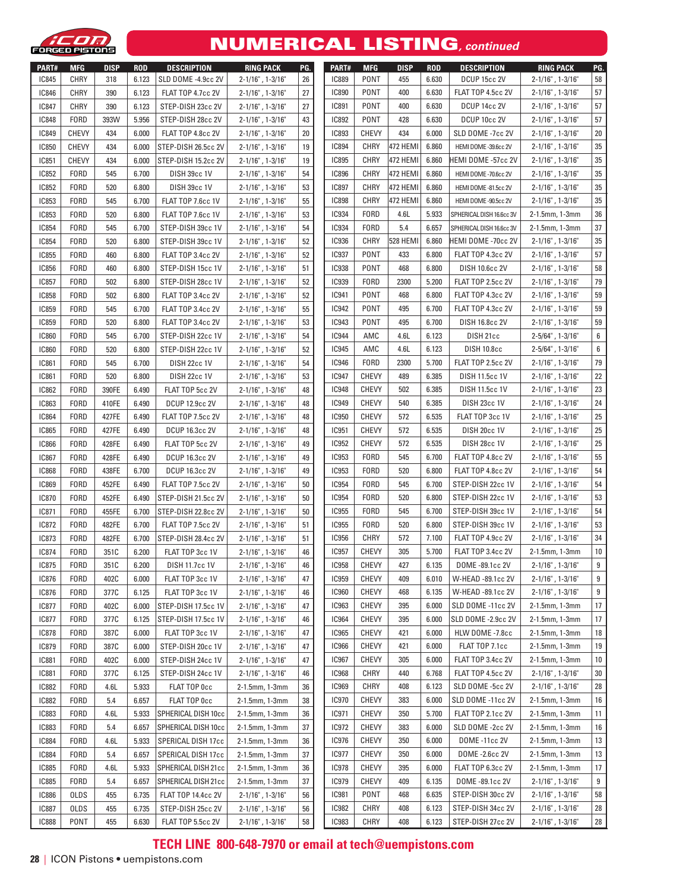

#### NUMERICAL LISTING**, continued**

| PART#<br><b>IC845</b> | <b>MFG</b><br><b>CHRY</b> | <b>DISP</b><br>318 | <b>ROD</b><br>6.123 | <b>DESCRIPTION</b>        | <b>RING PACK</b>          | PG. | PART#        | <b>MFG</b>   | <b>DISP</b>     | <b>ROD</b> | <b>DESCRIPTION</b>       | <b>RING PACK</b>           | PG.              |
|-----------------------|---------------------------|--------------------|---------------------|---------------------------|---------------------------|-----|--------------|--------------|-----------------|------------|--------------------------|----------------------------|------------------|
|                       |                           |                    |                     | SLD DOME -4.9cc 2V        | 2-1/16", 1-3/16"          | 26  | <b>IC889</b> | <b>PONT</b>  | 455             | 6.630      | DCUP 15cc 2V             | 2-1/16", 1-3/16"           | 58               |
| <b>IC846</b>          | <b>CHRY</b>               | 390                | 6.123               | FLAT TOP 4.7cc 2V         | $2 - 1/16"$ , 1-3/16"     | 27  | <b>IC890</b> | <b>PONT</b>  | 400             | 6.630      | FLAT TOP 4.5cc 2V        | $2 - 1/16"$ , 1-3/16"      | 57               |
| <b>IC847</b>          | <b>CHRY</b>               | 390                | 6.123               | STEP-DISH 23cc 2V         | $2 - 1/16"$ , 1-3/16"     | 27  | <b>IC891</b> | PONT         | 400             | 6.630      | DCUP 14cc 2V             | $2 - 1/16"$ , 1-3/16"      | 57               |
| <b>IC848</b>          | <b>FORD</b>               | 393W               | 5.956               | STEP-DISH 28cc 2V         | $2 - 1/16"$ , 1-3/16"     | 43  | <b>IC892</b> | PONT         | 428             | 6.630      | DCUP 10cc 2V             | $2 - 1/16"$ , 1-3/16"      | 57               |
| <b>IC849</b>          | <b>CHEVY</b>              | 434                | 6.000               | FLAT TOP 4.8cc 2V         | $2 - 1/16"$ , 1-3/16"     | 20  | <b>IC893</b> | <b>CHEVY</b> | 434             | 6.000      | SLD DOME -7cc 2V         | $2 - 1/16"$ , 1-3/16"      | 20               |
| <b>IC850</b>          | <b>CHEVY</b>              | 434                | 6.000               | STEP-DISH 26.5cc 2V       | $2 - 1/16"$ , 1-3/16"     | 19  | <b>IC894</b> | CHRY         | <b>472 HEMI</b> | 6.860      | HEMI DOME -39.6cc 2V     | $2 - 1/16"$ , 1-3/16"      | 35               |
| IC851                 | <b>CHEVY</b>              | 434                | 6.000               | STEP-DISH 15.2cc 2V       | $2 - 1/16"$ , 1-3/16"     | 19  | <b>IC895</b> | <b>CHRY</b>  | 472 HEMI        | 6.860      | HEMI DOME -57cc 2V       | $2 - 1/16"$ , 1-3/16"      | 35               |
| <b>IC852</b>          | <b>FORD</b>               | 545                | 6.700               | DISH 39cc 1V              | $2 - 1/16"$ , 1-3/16"     | 54  | <b>IC896</b> | CHRY         | 472 HEMI        | 6.860      | HEMI DOME -70.6cc 2V     | $2 - 1/16"$ , 1-3/16"      | 35               |
| <b>IC852</b>          | <b>FORD</b>               | 520                | 6.800               | <b>DISH 39cc 1V</b>       | $2 - 1/16"$ , 1-3/16"     | 53  | <b>IC897</b> | CHRY         | 472 HEMI        | 6.860      | HEMI DOME -81.5cc 2V     | $2 - 1/16"$ , 1-3/16"      | 35               |
| <b>IC853</b>          | <b>FORD</b>               | 545                | 6.700               | FLAT TOP 7.6cc 1V         | $2 - 1/16"$ , 1-3/16"     | 55  | <b>IC898</b> | CHRY         | 472 HEMI        | 6.860      | HEMI DOME -90.5cc 2V     | $2 - 1/16"$ , 1-3/16"      | 35               |
| <b>IC853</b>          | <b>FORD</b>               | 520                | 6.800               | FLAT TOP 7.6cc 1V         | $2 - 1/16"$ , 1-3/16"     | 53  | <b>IC934</b> | <b>FORD</b>  | 4.6L            | 5.933      | SPHERICAL DISH 16.6cc 3V | 2-1.5mm, 1-3mm             | 36               |
| <b>IC854</b>          | <b>FORD</b>               | 545                | 6.700               | STEP-DISH 39cc 1V         | $2 - 1/16"$ , 1-3/16"     | 54  | <b>IC934</b> | <b>FORD</b>  | 5.4             | 6.657      | SPHERICAL DISH 16.6cc 3V | 2-1.5mm, 1-3mm             | 37               |
| <b>IC854</b>          | <b>FORD</b>               | 520                | 6.800               | STEP-DISH 39cc 1V         | $2 - 1/16"$ , 1-3/16"     | 52  | <b>IC936</b> | CHRY         | 528 HEMI        | 6.860      | HEMI DOME -70cc 2V       | $2 - 1/16"$ , 1-3/16"      | 35               |
| <b>IC855</b>          | <b>FORD</b>               | 460                | 6.800               | FLAT TOP 3.4cc 2V         | $2 - 1/16"$ , 1-3/16"     | 52  | <b>IC937</b> | <b>PONT</b>  | 433             | 6.800      | FLAT TOP 4.3cc 2V        | $2 - 1/16"$ , 1-3/16"      | 57               |
| <b>IC856</b>          | <b>FORD</b>               | 460                | 6.800               | STEP-DISH 15cc 1V         | $2 - 1/16"$ , 1-3/16"     | 51  | <b>IC938</b> | <b>PONT</b>  | 468             | 6.800      | DISH 10.6cc 2V           | $2 - 1/16"$ , 1-3/16"      | 58               |
| <b>IC857</b>          | <b>FORD</b>               | 502                | 6.800               | STEP-DISH 28cc 1V         | $2 - 1/16"$ , 1-3/16"     | 52  | <b>IC939</b> | <b>FORD</b>  | 2300            | 5.200      | FLAT TOP 2.5cc 2V        | $2 - 1/16"$ , 1-3/16"      | 79               |
| <b>IC858</b>          | <b>FORD</b>               | 502                | 6.800               | FLAT TOP 3.4cc 2V         | $2 - 1/16"$ , 1-3/16"     | 52  | <b>IC941</b> | <b>PONT</b>  | 468             | 6.800      | FLAT TOP 4.3cc 2V        | $2 - 1/16"$ , 1-3/16"      | 59               |
| <b>IC859</b>          | <b>FORD</b>               | 545                | 6.700               | FLAT TOP 3.4cc 2V         | $2 - 1/16"$ , 1-3/16"     | 55  | <b>IC942</b> | PONT         | 495             | 6.700      | FLAT TOP 4.3cc 2V        | $2 - 1/16"$ , 1-3/16"      | 59               |
| <b>IC859</b>          | <b>FORD</b>               | 520                | 6.800               | FLAT TOP 3.4cc 2V         | $2 - 1/16"$ , 1-3/16"     | 53  | <b>IC943</b> | <b>PONT</b>  | 495             | 6.700      | DISH 16.8cc 2V           | $2 - 1/16"$ , 1-3/16"      | 59               |
| <b>IC860</b>          | <b>FORD</b>               | 545                | 6.700               | STEP-DISH 22cc 1V         | $2 - 1/16"$ , 1-3/16"     | 54  | <b>IC944</b> | AMC          | 4.6L            | 6.123      | DISH 21cc                | $2 - 5/64$ ", $1 - 3/16$ " | 6                |
| <b>IC860</b>          | <b>FORD</b>               | 520                | 6.800               | STEP-DISH 22cc 1V         | $2 - 1/16"$ , 1-3/16"     | 52  | <b>IC945</b> | AMC          | 4.6L            | 6.123      | <b>DISH 10.8cc</b>       | $2 - 5/64$ ", $1 - 3/16$ " | 6                |
| <b>IC861</b>          | <b>FORD</b>               | 545                | 6.700               | DISH 22cc 1V              | $2 - 1/16"$ , 1-3/16"     | 54  | <b>IC946</b> | <b>FORD</b>  | 2300            | 5.700      | FLAT TOP 2.5cc 2V        | $2 - 1/16"$ , $1 - 3/16"$  | 79               |
| <b>IC861</b>          | <b>FORD</b>               | 520                | 6.800               | <b>DISH 22cc 1V</b>       | $2 - 1/16"$ , 1-3/16"     | 53  | <b>IC947</b> | <b>CHEVY</b> | 489             | 6.385      | <b>DISH 11.5cc 1V</b>    | $2 - 1/16"$ , 1-3/16"      | 22               |
| <b>IC862</b>          | <b>FORD</b>               | 390FE              | 6.490               | FLAT TOP 5cc 2V           | $2 - 1/16"$ , 1-3/16"     | 48  | <b>IC948</b> | <b>CHEVY</b> | 502             | 6.385      | DISH 11.5cc 1V           | $2 - 1/16"$ , 1-3/16"      | 23               |
| <b>IC863</b>          | <b>FORD</b>               | 410FE              | 6.490               | <b>DCUP 12.9cc 2V</b>     | $2 - 1/16"$ , 1-3/16"     | 48  | <b>IC949</b> | <b>CHEVY</b> | 540             | 6.385      | DISH 23cc 1V             | $2 - 1/16"$ , 1-3/16"      | 24               |
| <b>IC864</b>          | <b>FORD</b>               | 427FE              | 6.490               | FLAT TOP 7.5cc 2V         | $2 - 1/16"$ , 1-3/16"     | 48  | <b>IC950</b> | <b>CHEVY</b> | 572             | 6.535      | FLAT TOP 3cc 1V          | $2 - 1/16"$ , 1-3/16"      | 25               |
| <b>IC865</b>          | <b>FORD</b>               | 427FE              | 6.490               | <b>DCUP 16.3cc 2V</b>     | $2 - 1/16"$ , 1-3/16"     | 48  | IC951        | <b>CHEVY</b> | 572             | 6.535      | DISH 20cc 1V             | $2 - 1/16"$ , 1-3/16"      | 25               |
| <b>IC866</b>          | <b>FORD</b>               | 428FE              | 6.490               | FLAT TOP 5cc 2V           | $2 - 1/16"$ , 1-3/16"     | 49  | <b>IC952</b> | <b>CHEVY</b> | 572             | 6.535      | DISH 28cc 1V             | $2 - 1/16"$ , 1-3/16"      | 25               |
| <b>IC867</b>          | <b>FORD</b>               | 428FE              | 6.490               | <b>DCUP 16.3cc 2V</b>     | $2 - 1/16"$ , 1-3/16"     | 49  | <b>IC953</b> | <b>FORD</b>  | 545             | 6.700      | FLAT TOP 4.8cc 2V        | $2 - 1/16"$ , 1-3/16"      | 55               |
| <b>IC868</b>          | <b>FORD</b>               | 438FE              | 6.700               | <b>DCUP 16.3cc 2V</b>     | $2 - 1/16"$ , 1-3/16"     | 49  | <b>IC953</b> | <b>FORD</b>  | 520             | 6.800      | FLAT TOP 4.8cc 2V        | $2 - 1/16"$ , 1-3/16"      | 54               |
| <b>IC869</b>          | <b>FORD</b>               | 452FE              | 6.490               | FLAT TOP 7.5cc 2V         | $2 - 1/16"$ , 1-3/16"     | 50  | <b>IC954</b> | <b>FORD</b>  | 545             | 6.700      | STEP-DISH 22cc 1V        | $2 - 1/16"$ , 1-3/16"      | 54               |
| <b>IC870</b>          | <b>FORD</b>               | 452FE              | 6.490               | STEP-DISH 21.5cc 2V       | $2 - 1/16"$ , 1-3/16"     | 50  | <b>IC954</b> | <b>FORD</b>  | 520             | 6.800      | STEP-DISH 22cc 1V        | $2 - 1/16"$ , 1-3/16"      | 53               |
| <b>IC871</b>          | <b>FORD</b>               | 455FE              | 6.700               | STEP-DISH 22.8cc 2V       | $2 - 1/16"$ , 1-3/16"     | 50  | <b>IC955</b> | <b>FORD</b>  | 545             | 6.700      | STEP-DISH 39cc 1V        | $2 - 1/16"$ , 1-3/16"      | 54               |
| <b>IC872</b>          | <b>FORD</b>               | 482FE              | 6.700               | FLAT TOP 7.5cc 2V         | $2 - 1/16"$ , 1-3/16"     | 51  | <b>IC955</b> | <b>FORD</b>  | 520             | 6.800      | STEP-DISH 39cc 1V        | $2 - 1/16"$ , 1-3/16"      | 53               |
| <b>IC873</b>          | <b>FORD</b>               | 482FE              | 6.700               | STEP-DISH 28.4cc 2V       | $2 - 1/16"$ , 1-3/16"     | 51  | <b>IC956</b> | <b>CHRY</b>  | 572             | 7.100      | FLAT TOP 4.9cc 2V        | $2 - 1/16"$ , 1-3/16"      | 34               |
| <b>IC874</b>          | <b>FORD</b>               | 351C               | 6.200               | FLAT TOP 3cc 1V           | $2 - 1/16"$ , 1-3/16"     | 46  | <b>IC957</b> | <b>CHEVY</b> | 305             | 5.700      | FLAT TOP 3.4cc 2V        | 2-1.5mm, 1-3mm             | 10               |
| <b>IC875</b>          | FORD                      | 351C               | 6.200               | <b>DISH 11.7cc 1V</b>     | $2 - 1/16"$ , $1 - 3/16"$ | 46  | <b>IC958</b> | CHEVY        | 427             |            | 6.135   DOME -89.1cc 2V  | $2 - 1/16"$ , $1 - 3/16"$  | $\boldsymbol{9}$ |
| IC876                 | <b>FORD</b>               | 402C               | 6.000               | FLAT TOP 3cc 1V           | $2 - 1/16"$ , 1-3/16"     | 47  | <b>IC959</b> | CHEVY        | 409             | 6.010      | W-HEAD -89.1cc 2V        | 2-1/16", 1-3/16"           | 9                |
| <b>IC876</b>          | <b>FORD</b>               | 377C               | 6.125               | FLAT TOP 3cc 1V           | 2-1/16", 1-3/16"          | 46  | <b>IC960</b> | <b>CHEVY</b> | 468             | 6.135      | W-HEAD -89.1cc 2V        | $2 - 1/16"$ , $1 - 3/16"$  | 9                |
| <b>IC877</b>          | <b>FORD</b>               | 402C               | 6.000               | STEP-DISH 17.5cc 1V       | 2-1/16", 1-3/16"          | 47  | <b>IC963</b> | <b>CHEVY</b> | 395             | 6.000      | SLD DOME -11cc 2V        | 2-1.5mm, 1-3mm             | 17               |
| <b>IC877</b>          | <b>FORD</b>               | 377C               | 6.125               | STEP-DISH 17.5cc 1V       | 2-1/16", 1-3/16"          | 46  | <b>IC964</b> | <b>CHEVY</b> | 395             | 6.000      | SLD DOME -2.9cc 2V       | 2-1.5mm, 1-3mm             | 17               |
| <b>IC878</b>          | <b>FORD</b>               | 387C               | 6.000               | FLAT TOP 3cc 1V           | $2 - 1/16"$ , 1-3/16"     | 47  | <b>IC965</b> | CHEVY        | 421             | 6.000      | HLW DOME -7.8cc          | 2-1.5mm, 1-3mm             | 18               |
| <b>IC879</b>          | <b>FORD</b>               | 387C               | 6.000               | STEP-DISH 20cc 1V         | 2-1/16", 1-3/16"          | 47  | <b>IC966</b> | <b>CHEVY</b> | 421             | 6.000      | FLAT TOP 7.1cc           | 2-1.5mm, 1-3mm             | 19               |
| <b>IC881</b>          | <b>FORD</b>               | 402C               | 6.000               | STEP-DISH 24cc 1V         | 2-1/16", 1-3/16"          | 47  | <b>IC967</b> | <b>CHEVY</b> | 305             | 6.000      | FLAT TOP 3.4cc 2V        | 2-1.5mm, 1-3mm             | 10               |
| <b>IC881</b>          | <b>FORD</b>               | 377C               | 6.125               | STEP-DISH 24cc 1V         | 2-1/16", 1-3/16"          | 46  | <b>IC968</b> | CHRY         | 440             | 6.768      | FLAT TOP 4.5cc 2V        | $2 - 1/16"$ , 1-3/16"      | 30               |
| <b>IC882</b>          | <b>FORD</b>               | 4.6L               | 5.933               | FLAT TOP Occ              | 2-1.5mm, 1-3mm            | 36  | <b>IC969</b> | CHRY         | 408             | 6.123      | SLD DOME -5cc 2V         | $2 - 1/16"$ , $1 - 3/16"$  | 28               |
| <b>IC882</b>          | <b>FORD</b>               | 5.4                | 6.657               | FLAT TOP Occ              | 2-1.5mm, 1-3mm            | 38  | <b>IC970</b> | CHEVY        | 383             | 6.000      | SLD DOME -11cc 2V        | 2-1.5mm, 1-3mm             | 16               |
| <b>IC883</b>          | <b>FORD</b>               | 4.6L               | 5.933               | SPHERICAL DISH 10cc       | 2-1.5mm, 1-3mm            | 36  | <b>IC971</b> | CHEVY        | 350             | 5.700      | FLAT TOP 2.1cc 2V        | 2-1.5mm, 1-3mm             | 11               |
| <b>IC883</b>          | <b>FORD</b>               | 5.4                | 6.657               | SPHERICAL DISH 10cc       | 2-1.5mm, 1-3mm            | 37  | <b>IC972</b> | CHEVY        | 383             | 6.000      | SLD DOME -2cc 2V         | 2-1.5mm, 1-3mm             | 16               |
| <b>IC884</b>          | <b>FORD</b>               | 4.6L               | 5.933               | SPERICAL DISH 17cc        | 2-1.5mm, 1-3mm            | 36  | <b>IC976</b> | <b>CHEVY</b> | 350             | 6.000      | DOME -11cc 2V            | 2-1.5mm, 1-3mm             | 13               |
| <b>IC884</b>          | <b>FORD</b>               | 5.4                | 6.657               | SPERICAL DISH 17cc        | 2-1.5mm, 1-3mm            | 37  | <b>IC977</b> | <b>CHEVY</b> | 350             | 6.000      | DOME - 2.6cc 2V          | 2-1.5mm, 1-3mm             | 13               |
| <b>IC885</b>          | <b>FORD</b>               | 4.6L               | 5.933               | SPHERICAL DISH 21cc       | 2-1.5mm, 1-3mm            | 36  | <b>IC978</b> | CHEVY        | 395             | 6.000      | FLAT TOP 6.3cc 2V        | 2-1.5mm, 1-3mm             | 17               |
| <b>IC885</b>          | <b>FORD</b>               | 5.4                | 6.657               | SPHERICAL DISH 21cc       | 2-1.5mm, 1-3mm            | 37  | <b>IC979</b> | <b>CHEVY</b> | 409             | 6.135      | DOME -89.1cc 2V          | $2 - 1/16"$ , 1-3/16"      | 9                |
| <b>IC886</b>          | <b>OLDS</b>               | 455                | 6.735               | <b>FLAT TOP 14.4cc 2V</b> | $2 - 1/16"$ , 1-3/16"     | 56  | <b>IC981</b> | <b>PONT</b>  | 468             | 6.635      | STEP-DISH 30cc 2V        | $2 - 1/16"$ , 1-3/16"      | 58               |
| <b>IC887</b>          | <b>OLDS</b>               | 455                | 6.735               | STEP-DISH 25cc 2V         | 2-1/16", 1-3/16"          | 56  | <b>IC982</b> | CHRY         | 408             | 6.123      | STEP-DISH 34cc 2V        | $2 - 1/16"$ , 1-3/16"      | 28               |
| <b>IC888</b>          | PONT                      | 455                | 6.630               | FLAT TOP 5.5cc 2V         | $2 - 1/16"$ , $1 - 3/16"$ | 58  | <b>IC983</b> | CHRY         | 408             | 6.123      | STEP-DISH 27cc 2V        | $2 - 1/16"$ , 1-3/16"      | 28               |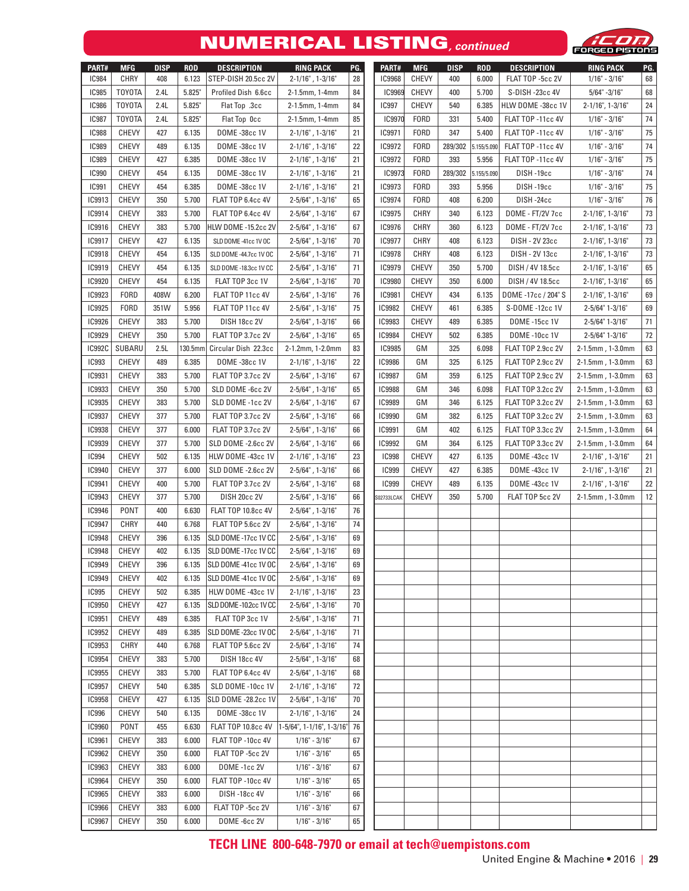## NUMERICAL LISTING**, continued**



| PART#         | <b>MFG</b>    | <b>DISP</b> | <b>ROD</b> | <b>DESCRIPTION</b>         | <b>RING PACK</b>                   | PG. | PART#         | <b>MFG</b>   | <b>DISP</b> | <b>ROD</b>  | <b>DESCRIPTION</b>   | <b>RING PACK</b>           | PG. |
|---------------|---------------|-------------|------------|----------------------------|------------------------------------|-----|---------------|--------------|-------------|-------------|----------------------|----------------------------|-----|
| <b>IC984</b>  | <b>CHRY</b>   | 408         | 6.123      | STEP-DISH 20.5cc 2V        | $2 - 1/16"$ , 1-3/16"              | 28  | <b>IC9968</b> | <b>CHEVY</b> | 400         | 6.000       | FLAT TOP -5cc 2V     | $1/16" - 3/16"$            | 68  |
| <b>IC985</b>  | <b>TOYOTA</b> | 2.4L        | 5.825      | Profiled Dish 6.6cc        | 2-1.5mm, 1-4mm                     | 84  | <b>IC9969</b> | <b>CHEVY</b> | 400         | 5.700       | S-DISH-23cc 4V       | $5/64$ " -3/16"            | 68  |
| <b>IC986</b>  | <b>TOYOTA</b> | 2.4L        | 5.825"     | Flat Top .3cc              | 2-1.5mm, 1-4mm                     | 84  | <b>IC997</b>  | <b>CHEVY</b> | 540         | 6.385       | HLW DOME -38cc 1V    | $2 - 1/16$ ", 1-3/16"      | 24  |
| <b>IC987</b>  | <b>TOYOTA</b> | 2.4L        | 5.825"     | Flat Top Occ               | 2-1.5mm, 1-4mm                     | 85  | IC9970        | <b>FORD</b>  | 331         | 5.400       | FLAT TOP -11cc 4V    | $1/16" - 3/16"$            | 74  |
| <b>IC988</b>  | <b>CHEVY</b>  | 427         | 6.135      | DOME -38cc 1V              | $2 - 1/16"$ , 1-3/16"              | 21  | IC9971        | <b>FORD</b>  | 347         | 5.400       | FLAT TOP -11cc 4V    | $1/16" - 3/16"$            | 75  |
| <b>IC989</b>  | <b>CHEVY</b>  | 489         | 6.135      | DOME -38cc 1V              | $2 - 1/16"$ , 1-3/16"              | 22  | IC9972        | <b>FORD</b>  | 289/302     | 5.155/5.090 | FLAT TOP -11cc 4V    | $1/16" - 3/16"$            | 74  |
| <b>IC989</b>  | <b>CHEVY</b>  | 427         | 6.385      | DOME -38cc 1V              | $2 - 1/16"$ , 1-3/16"              | 21  | IC9972        | <b>FORD</b>  | 393         | 5.956       | FLAT TOP -11cc 4V    | $1/16" - 3/16"$            | 75  |
| <b>IC990</b>  | <b>CHEVY</b>  | 454         | 6.135      | DOME -38cc 1V              | $2 - 1/16"$ , 1-3/16"              | 21  | IC9973        | <b>FORD</b>  | 289/302     | 5.155/5.090 | DISH-19cc            | $1/16" - 3/16"$            | 74  |
| <b>IC991</b>  | <b>CHEVY</b>  | 454         | 6.385      | DOME -38cc 1V              | $2 - 1/16"$ , 1-3/16"              | 21  | IC9973        | <b>FORD</b>  | 393         | 5.956       | DISH-19cc            | $1/16" - 3/16"$            | 75  |
| IC9913        | <b>CHEVY</b>  | 350         | 5.700      | FLAT TOP 6.4cc 4V          | 2-5/64", 1-3/16"                   | 65  | <b>IC9974</b> | <b>FORD</b>  | 408         | 6.200       | DISH-24cc            | $1/16" - 3/16"$            | 76  |
| IC9914        | <b>CHEVY</b>  | 383         | 5.700      | FLAT TOP 6.4cc 4V          | 2-5/64", 1-3/16"                   | 67  | <b>IC9975</b> | CHRY         | 340         | 6.123       | DOME - FT/2V 7cc     | $2 - 1/16$ ", 1-3/16"      | 73  |
| IC9916        | <b>CHEVY</b>  | 383         | 5.700      | HLW DOME -15.2cc 2V        | $2 - 5/64$ ", $1 - 3/16$ "         | 67  | <b>IC9976</b> | CHRY         | 360         | 6.123       | DOME - FT/2V 7cc     | $2 - 1/16$ ", 1-3/16"      | 73  |
| IC9917        | <b>CHEVY</b>  | 427         | 6.135      | SLD DOME -41cc 1V OC       | $2 - 5/64$ ", $1 - 3/16$ "         | 70  | IC9977        | <b>CHRY</b>  | 408         | 6.123       | DISH - 2V 23cc       | $2 - 1/16$ ", 1-3/16"      | 73  |
| <b>IC9918</b> | <b>CHEVY</b>  | 454         | 6.135      | SLD DOME -44.7cc 1V OC     | $2 - 5/64$ ", $1 - 3/16$ "         | 71  | <b>IC9978</b> | CHRY         | 408         | 6.123       | DISH - 2V 13cc       | $2 - 1/16$ ", 1-3/16"      | 73  |
| IC9919        | <b>CHEVY</b>  | 454         | 6.135      | SLD DOME -18.3cc 1V CC     | $2 - 5/64$ ", $1 - 3/16$ "         | 71  | <b>IC9979</b> | <b>CHEVY</b> | 350         | 5.700       | DISH / 4V 18.5cc     | $2 - 1/16$ ", 1-3/16"      | 65  |
| IC9920        | <b>CHEVY</b>  | 454         | 6.135      | FLAT TOP 3cc 1V            | $2 - 5/64$ ", 1-3/16"              | 70  | <b>IC9980</b> | <b>CHEVY</b> | 350         | 6.000       | DISH / 4V 18.5cc     | $2 - 1/16$ ", $1 - 3/16$ " | 65  |
| IC9923        | <b>FORD</b>   | 408W        | 6.200      | FLAT TOP 11cc 4V           | $2-5/64"$ , $1-3/16"$              | 76  | <b>IC9981</b> | <b>CHEVY</b> | 434         | 6.135       | DOME -17cc / 204" S  | $2 - 1/16$ ", 1-3/16"      | 69  |
| IC9925        | <b>FORD</b>   | 351W        | 5.956      | FLAT TOP 11cc 4V           | $2 - 5/64$ ", $1 - 3/16$ "         | 75  | <b>IC9982</b> | <b>CHEVY</b> | 461         | 6.385       | S-DOME -12cc 1V      | 2-5/64" 1-3/16"            | 69  |
| <b>IC9926</b> | <b>CHEVY</b>  | 383         | 5.700      | <b>DISH 18cc 2V</b>        | $2 - 5/64$ ", $1 - 3/16$ "         | 66  | <b>IC9983</b> | <b>CHEVY</b> | 489         | 6.385       | <b>DOME -15cc 1V</b> | $2 - 5/64" 1 - 3/16"$      | 71  |
| IC9929        | <b>CHEVY</b>  | 350         | 5.700      | FLAT TOP 3.7cc 2V          | $2 - 5/64$ ", $1 - 3/16$ "         | 65  | <b>IC9984</b> | <b>CHEVY</b> | 502         | 6.385       | <b>DOME -10cc 1V</b> | $2 - 5/64" 1 - 3/16"$      | 72  |
| <b>IC992C</b> | SUBARU        | 2.5L        | 130.5mm    | Circular Dish 22.3cc       | 2-1.2mm, 1-2.0mm                   | 83  | <b>IC9985</b> | GM           | 325         | 6.098       | FLAT TOP 2.9cc 2V    | 2-1.5mm, 1-3.0mm           | 63  |
| <b>IC993</b>  | <b>CHEVY</b>  | 489         | 6.385      | DOME -38cc 1V              | $2 - 1/16"$ , 1-3/16"              | 22  | <b>IC9986</b> | GМ           | 325         | 6.125       | FLAT TOP 2.9cc 2V    | 2-1.5mm, 1-3.0mm           | 63  |
| <b>IC9931</b> | <b>CHEVY</b>  | 383         | 5.700      | FLAT TOP 3.7cc 2V          | $2 - 5/64$ ", $1 - 3/16$ "         | 67  | <b>IC9987</b> | GМ           | 359         | 6.125       | FLAT TOP 2.9cc 2V    | 2-1.5mm, 1-3.0mm           | 63  |
| <b>IC9933</b> | <b>CHEVY</b>  | 350         | 5.700      | SLD DOME -6cc 2V           | $2 - 5/64$ ", $1 - 3/16$ "         | 65  | <b>IC9988</b> | GМ           | 346         | 6.098       | FLAT TOP 3.2cc 2V    | 2-1.5mm, 1-3.0mm           | 63  |
| <b>IC9935</b> | <b>CHEVY</b>  | 383         | 5.700      | SLD DOME -1cc 2V           | $2 - 5/64$ ", $1 - 3/16$ "         | 67  | <b>IC9989</b> | GМ           | 346         | 6.125       | FLAT TOP 3.2cc 2V    | 2-1.5mm, 1-3.0mm           | 63  |
| <b>IC9937</b> | <b>CHEVY</b>  | 377         | 5.700      | FLAT TOP 3.7cc 2V          | $2 - 5/64$ ", $1 - 3/16$ "         | 66  | <b>IC9990</b> | GМ           | 382         | 6.125       | FLAT TOP 3.2cc 2V    | 2-1.5mm, 1-3.0mm           | 63  |
| <b>IC9938</b> | <b>CHEVY</b>  | 377         | 6.000      | FLAT TOP 3.7cc 2V          | $2 - 5/64$ ", $1 - 3/16$ "         | 66  | <b>IC9991</b> | GМ           | 402         | 6.125       | FLAT TOP 3.3cc 2V    | 2-1.5mm, 1-3.0mm           | 64  |
| <b>IC9939</b> | <b>CHEVY</b>  | 377         | 5.700      | SLD DOME -2.6cc 2V         | $2 - 5/64$ ", $1 - 3/16$ "         | 66  | <b>IC9992</b> | GM           | 364         | 6.125       | FLAT TOP 3.3cc 2V    | 2-1.5mm, 1-3.0mm           | 64  |
| <b>IC994</b>  | <b>CHEVY</b>  | 502         | 6.135      | HLW DOME -43cc 1V          | $2 - 1/16"$ , 1-3/16"              | 23  | <b>IC998</b>  | <b>CHEVY</b> | 427         | 6.135       | DOME -43cc 1V        | $2 - 1/16"$ , 1-3/16"      | 21  |
| IC9940        | <b>CHEVY</b>  | 377         | 6.000      | SLD DOME -2.6cc 2V         | $2 - 5/64$ ", $1 - 3/16$ "         | 66  | <b>IC999</b>  | <b>CHEVY</b> | 427         | 6.385       | DOME -43cc 1V        | $2 - 1/16"$ , 1-3/16"      | 21  |
| IC9941        | <b>CHEVY</b>  | 400         | 5.700      | FLAT TOP 3.7cc 2V          | $2 - 5/64$ ", $1 - 3/16$ "         | 68  | <b>IC999</b>  | <b>CHEVY</b> | 489         | 6.135       | DOME -43cc 1V        | $2 - 1/16"$ , 1-3/16"      | 22  |
| <b>IC9943</b> | <b>CHEVY</b>  | 377         | 5.700      | <b>DISH 20cc 2V</b>        | $2 - 5/64$ ", $1 - 3/16$ "         | 66  | S02733LCAK    | <b>CHEVY</b> | 350         | 5.700       | FLAT TOP 5cc 2V      | 2-1.5mm, 1-3.0mm           | 12  |
| <b>IC9946</b> | PONT          | 400         | 6.630      | <b>FLAT TOP 10.8cc 4V</b>  | $2 - 5/64$ ", $1 - 3/16$ "         | 76  |               |              |             |             |                      |                            |     |
| <b>IC9947</b> | <b>CHRY</b>   | 440         | 6.768      | FLAT TOP 5.6cc 2V          | $2 - 5/64$ ", $1 - 3/16$ "         | 74  |               |              |             |             |                      |                            |     |
| <b>IC9948</b> | <b>CHEVY</b>  | 396         | 6.135      | SLD DOME -17cc 1V CC       | $2 - 5/64$ ", $1 - 3/16$ "         | 69  |               |              |             |             |                      |                            |     |
| <b>IC9948</b> | <b>CHEVY</b>  | 402         | 6.135      | SLD DOME -17cc 1V CC       | $2-5/64$ ", $1-3/16$ "             | 69  |               |              |             |             |                      |                            |     |
| <b>IC9949</b> | CHEVY         | 396         | 6.135      | SLD DOME -41cc 1V OC       | $2-5/64"$ , $1-3/16"$              | 69  |               |              |             |             |                      |                            |     |
| <b>IC9949</b> | <b>CHEVY</b>  | 402         | 6.135      | SLD DOME -41cc 1V OC       | 2-5/64", 1-3/16"                   | 69  |               |              |             |             |                      |                            |     |
| <b>IC995</b>  | <b>CHEVY</b>  | 502         | 6.385      | HLW DOME -43cc 1V          | $2 - 1/16"$ , $1 - 3/16"$          | 23  |               |              |             |             |                      |                            |     |
| <b>IC9950</b> | <b>CHEVY</b>  | 427         | 6.135      | SLD DOME -10.2cc 1V CC     | 2-5/64", 1-3/16"                   | 70  |               |              |             |             |                      |                            |     |
| IC9951        | <b>CHEVY</b>  | 489         | 6.385      | FLAT TOP 3cc 1V            | 2-5/64", 1-3/16"                   | 71  |               |              |             |             |                      |                            |     |
| IC9952        | <b>CHEVY</b>  | 489         | 6.385      | SLD DOME -23cc 1V OC       | 2-5/64", 1-3/16"                   | 71  |               |              |             |             |                      |                            |     |
| <b>IC9953</b> | CHRY          | 440         | 6.768      | FLAT TOP 5.6cc 2V          | 2-5/64", 1-3/16"                   | 74  |               |              |             |             |                      |                            |     |
| <b>IC9954</b> | <b>CHEVY</b>  | 383         | 5.700      | DISH 18cc 4V               | 2-5/64", 1-3/16"                   | 68  |               |              |             |             |                      |                            |     |
| <b>IC9955</b> | CHEVY         | 383         | 5.700      | FLAT TOP 6.4cc 4V          | 2-5/64", 1-3/16"                   | 68  |               |              |             |             |                      |                            |     |
| IC9957        | CHEVY         | 540         | 6.385      | SLD DOME -10cc 1V          | 2-1/16", 1-3/16"                   | 72  |               |              |             |             |                      |                            |     |
| <b>IC9958</b> | <b>CHEVY</b>  | 427         | 6.135      | <b>SLD DOME -28.2cc 1V</b> | 2-5/64", 1-3/16"                   | 70  |               |              |             |             |                      |                            |     |
| <b>IC996</b>  | <b>CHEVY</b>  | 540         | 6.135      | DOME -38cc 1V              | $2 - 1/16"$ , 1-3/16"              | 24  |               |              |             |             |                      |                            |     |
| <b>IC9960</b> | <b>PONT</b>   | 455         | 6.630      | <b>FLAT TOP 10.8cc 4V</b>  | $1-5/64$ ", $1-1/16$ ", $1-3/16$ " | 76  |               |              |             |             |                      |                            |     |
| IC9961        | <b>CHEVY</b>  | 383         | 6.000      | FLAT TOP -10cc 4V          | $1/16" - 3/16"$                    | 67  |               |              |             |             |                      |                            |     |
| <b>IC9962</b> | <b>CHEVY</b>  | 350         | 6.000      | FLAT TOP -5cc 2V           | $1/16" - 3/16"$                    | 65  |               |              |             |             |                      |                            |     |
| <b>IC9963</b> | <b>CHEVY</b>  | 383         | 6.000      | DOME-1cc 2V                | $1/16" - 3/16"$                    | 67  |               |              |             |             |                      |                            |     |
| IC9964        | <b>CHEVY</b>  | 350         | 6.000      | FLAT TOP -10cc 4V          | $1/16" - 3/16"$                    | 65  |               |              |             |             |                      |                            |     |
| <b>IC9965</b> | <b>CHEVY</b>  | 383         | 6.000      | <b>DISH-18cc 4V</b>        | $1/16" - 3/16"$                    | 66  |               |              |             |             |                      |                            |     |
| <b>IC9966</b> | <b>CHEVY</b>  | 383         | 6.000      | FLAT TOP -5cc 2V           | $1/16" - 3/16"$                    | 67  |               |              |             |             |                      |                            |     |
| IC9967        | <b>CHEVY</b>  | 350         | 6.000      | DOME-6cc 2V                | $1/16" - 3/16"$                    | 65  |               |              |             |             |                      |                            |     |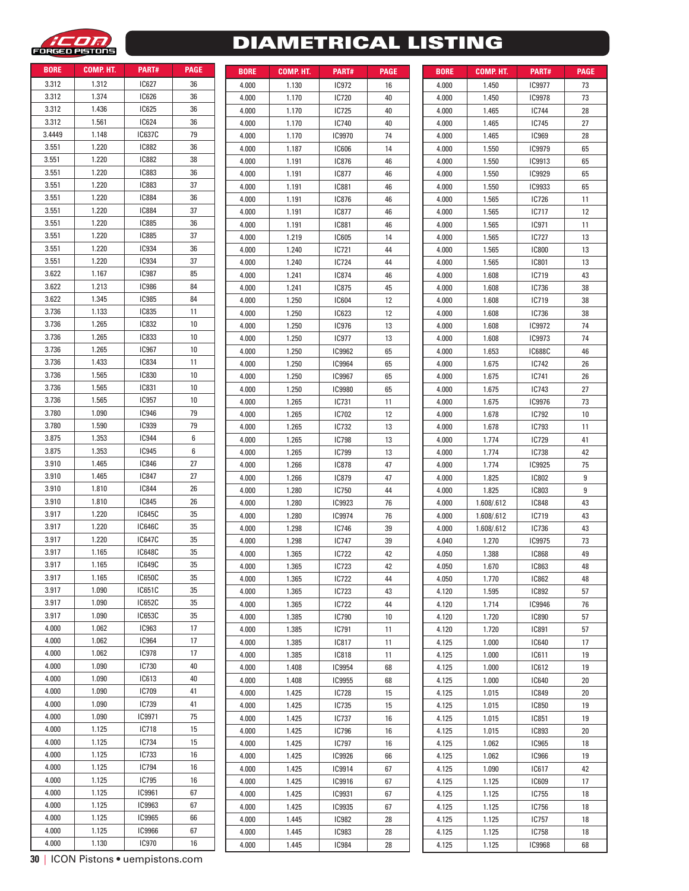

# DIAMETRICAL LISTING

| <b>BORE</b> | COMP. HT.      | PART#         | <b>PAGE</b> |
|-------------|----------------|---------------|-------------|
| 3.312       | 1.312          | IC627         | 36          |
| 3.312       | 1.374          | IC626         | 36          |
| 3.312       | 1.436          | IC625         | 36          |
| 3.312       | 1.561          | IC624         | 36          |
| 3.4449      | 1.148          | <b>IC637C</b> | 79          |
| 3.551       | 1.220          | IC882         | 36          |
| 3.551       | 1.220          | <b>IC882</b>  | 38          |
| 3.551       | 1.220          | IC883         | 36          |
| 3.551       | 1.220          | IC883         | 37          |
| 3.551       | 1.220          | IC884         | 36          |
| 3.551       | 1.220          | IC884         | 37          |
| 3.551       | 1.220          | IC885         | 36          |
| 3.551       | 1.220          | IC885         | 37          |
| 3.551       | 1.220          | IC934         | 36          |
| 3.551       | 1.220          | <b>IC934</b>  | 37          |
| 3.622       | 1.167          | IC987         | 85          |
| 3.622       | 1.213          | <b>IC986</b>  | 84          |
| 3.622       | 1.345          | IC985         | 84          |
| 3.736       | 1.133          | <b>IC835</b>  | 11          |
|             |                | IC832         | 10          |
| 3.736       | 1.265<br>1.265 | IC833         | 10          |
| 3.736       | 1.265          | <b>IC967</b>  |             |
| 3.736       |                |               | 10          |
| 3.736       | 1.433          | <b>IC834</b>  | 11          |
| 3.736       | 1.565          | IC830         | 10          |
| 3.736       | 1.565          | IC831         | 10          |
| 3.736       | 1.565          | IC957         | 10          |
| 3.780       | 1.090          | IC946         | 79          |
| 3.780       | 1.590          | IC939         | 79          |
| 3.875       | 1.353          | <b>IC944</b>  | 6           |
| 3.875       | 1.353          | IC945         | 6           |
| 3.910       | 1.465          | IC846         | 27          |
| 3.910       | 1.465          | IC847         | 27          |
| 3.910       | 1.810          | IC844         | 26          |
| 3.910       | 1.810          | IC845         | 26          |
| 3.917       | 1.220          | IC645C        | 35          |
| 3.917       | 1.220          | <b>IC646C</b> | 35          |
| 3.917       | 1.220          | <b>IC647C</b> | 35          |
| 3.917       | 1.165          | IC648C        | 35          |
| 3.917       | 1.165          | IC649C        | 35          |
| 3.917       | 1.165          | <b>IC650C</b> | 35          |
| 3.917       | 1.090          | IC651C        | 35          |
| 3.917       | 1.090          | IC652C        | 35          |
| 3.917       | 1.090          | IC653C        | 35          |
| 4.000       | 1.062          | IC963         | 17          |
| 4.000       | 1.062          | IC964         | 17          |
| 4.000       | 1.062          | IC978         | 17          |
| 4.000       | 1.090          | IC730         | 40          |
| 4.000       | 1.090          | IC613         | 40          |
| 4.000       | 1.090          | IC709         | 41          |
| 4.000       | 1.090          | IC739         | 41          |
| 4.000       | 1.090          | IC9971        | 75          |
| 4.000       | 1.125          | IC718         | 15          |
| 4.000       | 1.125          | IC734         | 15          |
| 4.000       | 1.125          | IC733         | 16          |
| 4.000       | 1.125          | IC794         | 16          |
| 4.000       | 1.125          | IC795         | 16          |
| 4.000       | 1.125          | IC9961        | 67          |
| 4.000       | 1.125          | IC9963        | 67          |
| 4.000       | 1.125          | IC9965        | 66          |
| 4.000       | 1.125          | <b>IC9966</b> | 67          |
| 4.000       | 1.130          | <b>IC970</b>  | 16          |

| DUNE  | GUIVIF. FI I. | <b>FANI#</b>  | rauc |
|-------|---------------|---------------|------|
| 4.000 | 1.130         | IC972         | 16   |
| 4.000 | 1.170         | IC720         | 40   |
| 4.000 | 1.170         | IC725         | 40   |
| 4.000 | 1.170         | IC740         | 40   |
| 4.000 | 1.170         | IC9970        | 74   |
| 4.000 | 1.187         | <b>IC606</b>  | 14   |
| 4.000 | 1.191         | IC876         | 46   |
| 4.000 | 1.191         | IC877         | 46   |
| 4.000 | 1.191         | IC881         | 46   |
| 4.000 | 1.191         | IC876         | 46   |
| 4.000 | 1.191         | IC877         | 46   |
|       |               |               |      |
| 4.000 | 1.191         | IC881         | 46   |
| 4.000 | 1.219         | <b>IC605</b>  | 14   |
| 4.000 | 1.240         | IC721         | 44   |
| 4.000 | 1.240         | IC724         | 44   |
| 4.000 | 1.241         | IC874         | 46   |
| 4.000 | 1.241         | IC875         | 45   |
| 4.000 | 1.250         | IC604         | 12   |
| 4.000 | 1.250         | IC623         | 12   |
| 4.000 | 1.250         | <b>IC976</b>  | 13   |
| 4.000 | 1.250         | <b>IC977</b>  | 13   |
| 4.000 | 1.250         | IC9962        | 65   |
| 4.000 | 1.250         | IC9964        | 65   |
| 4.000 | 1.250         | IC9967        | 65   |
| 4.000 | 1.250         | <b>IC9980</b> | 65   |
| 4.000 | 1.265         | IC731         | 11   |
| 4.000 | 1.265         | IC702         | 12   |
| 4.000 | 1.265         | IC732         | 13   |
| 4.000 | 1.265         | <b>IC798</b>  | 13   |
| 4.000 | 1.265         | IC799         | 13   |
| 4.000 | 1.266         | IC878         | 47   |
| 4.000 | 1.266         | IC879         | 47   |
| 4.000 | 1.280         | IC750         | 44   |
| 4.000 | 1.280         | IC9923        | 76   |
| 4.000 | 1.280         | IC9974        | 76   |
|       | 1.298         | <b>IC746</b>  | 39   |
| 4.000 |               |               |      |
| 4.000 | 1.298         | IC747         | 39   |
| 4.000 | 1.365         | IC722         | 42   |
| 4.000 | 1.365         | IC723         | 42   |
| 4.000 | 1.365         | IC722         | 44   |
| 4.000 | 1.365         | IC723         | 43   |
| 4.000 | 1.365         | IC722         | 44   |
| 4.000 | 1.385         | IC790         | 10   |
| 4.000 | 1.385         | IC791         | 11   |
| 4.000 | 1.385         | IC817         | 11   |
| 4.000 | 1.385         | <b>IC818</b>  | 11   |
| 4.000 | 1.408         | IC9954        | 68   |
| 4.000 | 1.408         | <b>IC9955</b> | 68   |
| 4.000 | 1.425         | IC728         | 15   |
| 4.000 | 1.425         | IC735         | 15   |
| 4.000 | 1.425         | IC737         | 16   |
| 4.000 | 1.425         | IC796         | 16   |
| 4.000 | 1.425         | IC797         | 16   |
| 4.000 | 1.425         | IC9926        | 66   |
| 4.000 | 1.425         | IC9914        | 67   |
| 4.000 | 1.425         | IC9916        | 67   |
| 4.000 | 1.425         | IC9931        | 67   |
| 4.000 | 1.425         | IC9935        | 67   |
| 4.000 | 1.445         | <b>IC982</b>  | 28   |
| 4.000 | 1.445         | <b>IC983</b>  | 28   |
| 4.000 | 1.445         | IC984         | 28   |
|       |               |               |      |

|               | COMP. HT. | PART#         | <b>PAGE</b> |
|---------------|-----------|---------------|-------------|
| BORE<br>3.312 | 1.312     | IC627         | 36          |
| 3.312         | 1.374     | <b>IC626</b>  | 36          |
| 3.312         | 1.436     | <b>IC625</b>  | 36          |
| 3.312         | 1.561     | <b>IC624</b>  | 36          |
| 3.4449        | 1.148     | <b>IC637C</b> | 79          |
| 3.551         | 1.220     | <b>IC882</b>  | 36          |
| 3.551         | 1.220     | <b>IC882</b>  | 38          |
|               | 1.220     | <b>IC883</b>  | 36          |
| 3.551         |           |               |             |
| 3.551         | 1.220     | <b>IC883</b>  | 37          |
| 3.551         | 1.220     | <b>IC884</b>  | 36          |
| 3.551         | 1.220     | <b>IC884</b>  | 37          |
| 3.551         | 1.220     | <b>IC885</b>  | 36          |
| 3.551         | 1.220     | <b>IC885</b>  | 37          |
| 3.551         | 1.220     | <b>IC934</b>  | 36          |
| 3.551         | 1.220     | <b>IC934</b>  | 37          |
| 3.622         | 1.167     | <b>IC987</b>  | 85          |
| 3.622         | 1.213     | <b>IC986</b>  | 84          |
| 3.622         | 1.345     | <b>IC985</b>  | 84          |
| 3.736         | 1.133     | <b>IC835</b>  | 11          |
| 3.736         | 1.265     | <b>IC832</b>  | 10          |
| 3.736         | 1.265     | <b>IC833</b>  | 10          |
| 3.736         | 1.265     | <b>IC967</b>  | 10          |
| 3.736         | 1.433     | <b>IC834</b>  | 11          |
| 3.736         | 1.565     | <b>IC830</b>  | 10          |
| 3.736         | 1.565     | <b>IC831</b>  | 10          |
| 3.736         | 1.565     | <b>IC957</b>  | 10          |
| 3.780         | 1.090     | <b>IC946</b>  | 79          |
| 3.780         | 1.590     | <b>IC939</b>  | 79          |
| 3.875         | 1.353     | <b>IC944</b>  | 6           |
| 3.875         | 1.353     | <b>IC945</b>  | 6           |
| 3.910         | 1.465     | <b>IC846</b>  | 27          |
| 3.910         | 1.465     | <b>IC847</b>  | 27          |
| 3.910         | 1.810     | <b>IC844</b>  | 26          |
| 3.910         | 1.810     | <b>IC845</b>  | 26          |
| 3.917         | 1.220     | <b>IC645C</b> | 35          |
| 3.917         | 1.220     | <b>IC646C</b> | 35          |
| 3.917         | 1.220     | <b>IC647C</b> | 35          |
| 3.917         | 1.165     | <b>IC648C</b> | 35          |
|               |           | IC649C        | 35          |
| 3.917         | 1.165     |               |             |
| 3.917         | 1.165     | <b>IC650C</b> | 35          |
| 3.917         | 1.090     | IC651C        | 35          |
| 3.917         | 1.090     | <b>IC652C</b> | 35          |
| 3.917         | 1.090     | IC653C        | 35          |
| 4.000         | 1.062     | <b>IC963</b>  | 17          |
| 4.000         | 1.062     | <b>IC964</b>  | 17          |
| 4.000         | 1.062     | <b>IC978</b>  | 17          |
| 4.000         | 1.090     | IC730         | 40          |
| 4.000         | 1.090     | IC613         | 40          |
| 4.000         | 1.090     | IC709         | 41          |
| 4.000         | 1.090     | IC739         | 41          |
| 4.000         | 1.090     | IC9971        | 75          |
| 4.000         | 1.125     | <b>IC718</b>  | 15          |
| 4.000         | 1.125     | <b>IC734</b>  | 15          |
| 4.000         | 1.125     | <b>IC733</b>  | 16          |
| 4.000         | 1.125     | <b>IC794</b>  | 16          |
|               |           |               |             |
| 4.000         | 1.125     | IC795         | 16          |
| 4.000         | 1.125     | IC9961        | 67          |
| 4.000         | 1.125     | IC9963        | 67          |
| 4.000         | 1.125     | <b>IC9965</b> | 66          |
| 4.000         | 1.125     | <b>IC9966</b> | 67          |
| 4.000         | 1.130     | <b>IC970</b>  | 16          |

**30** | ICON Pistons • uempistons.com